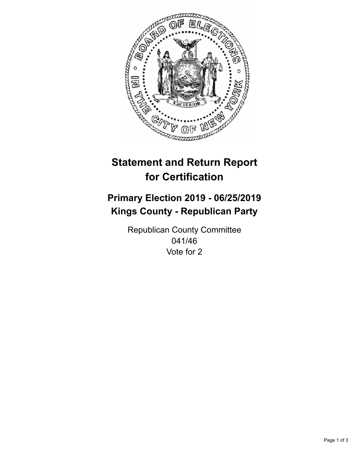

## **Statement and Return Report for Certification**

## **Primary Election 2019 - 06/25/2019 Kings County - Republican Party**

Republican County Committee 041/46 Vote for 2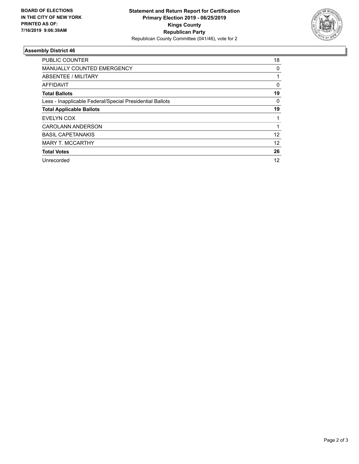

## **Assembly District 46**

| <b>PUBLIC COUNTER</b>                                    | 18           |
|----------------------------------------------------------|--------------|
| MANUALLY COUNTED EMERGENCY                               | 0            |
| ABSENTEE / MILITARY                                      |              |
| AFFIDAVIT                                                | $\mathbf{0}$ |
| <b>Total Ballots</b>                                     | 19           |
| Less - Inapplicable Federal/Special Presidential Ballots | 0            |
| <b>Total Applicable Ballots</b>                          | 19           |
| EVELYN COX                                               |              |
| <b>CAROLANN ANDERSON</b>                                 |              |
| <b>BASIL CAPETANAKIS</b>                                 | 12           |
| <b>MARY T. MCCARTHY</b>                                  | 12           |
| <b>Total Votes</b>                                       | 26           |
| Unrecorded                                               | 12           |